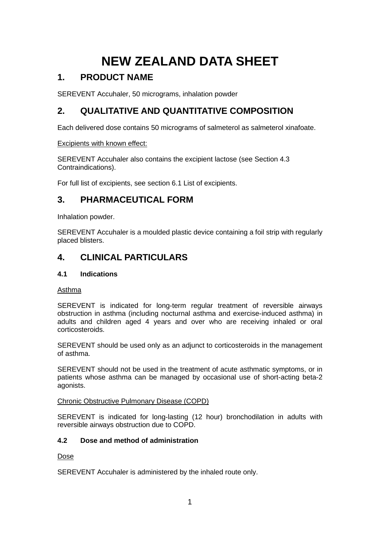# **NEW ZEALAND DATA SHEET**

# **1. PRODUCT NAME**

SEREVENT Accuhaler, 50 micrograms, inhalation powder

# **2. QUALITATIVE AND QUANTITATIVE COMPOSITION**

Each delivered dose contains 50 micrograms of salmeterol as salmeterol xinafoate.

# Excipients with known effect:

SEREVENT Accuhaler also contains the excipient lactose (see Section 4.3 Contraindications).

For full list of excipients, see section 6.1 List of excipients.

# **3. PHARMACEUTICAL FORM**

Inhalation powder.

SEREVENT Accuhaler is a moulded plastic device containing a foil strip with regularly placed blisters.

# **4. CLINICAL PARTICULARS**

# **4.1 Indications**

Asthma

SEREVENT is indicated for long-term regular treatment of reversible airways obstruction in asthma (including nocturnal asthma and exercise-induced asthma) in adults and children aged 4 years and over who are receiving inhaled or oral corticosteroids.

SEREVENT should be used only as an adjunct to corticosteroids in the management of asthma.

SEREVENT should not be used in the treatment of acute asthmatic symptoms, or in patients whose asthma can be managed by occasional use of short-acting beta-2 agonists.

# Chronic Obstructive Pulmonary Disease (COPD)

SEREVENT is indicated for long-lasting (12 hour) bronchodilation in adults with reversible airways obstruction due to COPD.

# **4.2 Dose and method of administration**

# Dose

SEREVENT Accuhaler is administered by the inhaled route only.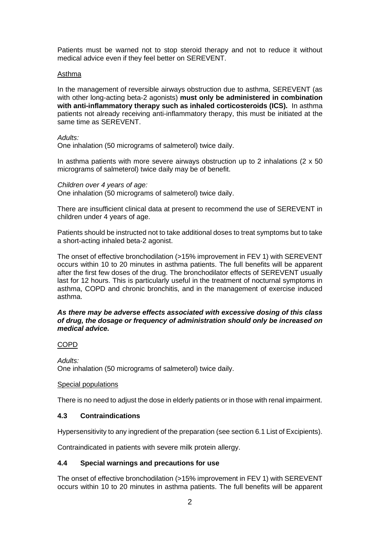Patients must be warned not to stop steroid therapy and not to reduce it without medical advice even if they feel better on SEREVENT.

#### Asthma

In the management of reversible airways obstruction due to asthma, SEREVENT (as with other long-acting beta-2 agonists) **must only be administered in combination with anti-inflammatory therapy such as inhaled corticosteroids (ICS).** In asthma patients not already receiving anti-inflammatory therapy, this must be initiated at the same time as SEREVENT.

#### *Adults:*

One inhalation (50 micrograms of salmeterol) twice daily.

In asthma patients with more severe airways obstruction up to 2 inhalations  $(2 \times 50)$ micrograms of salmeterol) twice daily may be of benefit.

#### *Children over 4 years of age:*

One inhalation (50 micrograms of salmeterol) twice daily.

There are insufficient clinical data at present to recommend the use of SEREVENT in children under 4 years of age.

Patients should be instructed not to take additional doses to treat symptoms but to take a short-acting inhaled beta-2 agonist.

The onset of effective bronchodilation (>15% improvement in FEV 1) with SEREVENT occurs within 10 to 20 minutes in asthma patients. The full benefits will be apparent after the first few doses of the drug. The bronchodilator effects of SEREVENT usually last for 12 hours. This is particularly useful in the treatment of nocturnal symptoms in asthma, COPD and chronic bronchitis, and in the management of exercise induced asthma.

#### *As there may be adverse effects associated with excessive dosing of this class of drug, the dosage or frequency of administration should only be increased on medical advice.*

### COPD

*Adults:* One inhalation (50 micrograms of salmeterol) twice daily.

### Special populations

There is no need to adjust the dose in elderly patients or in those with renal impairment.

### **4.3 Contraindications**

Hypersensitivity to any ingredient of the preparation (see section 6.1 List of Excipients).

Contraindicated in patients with severe milk protein allergy.

### **4.4 Special warnings and precautions for use**

The onset of effective bronchodilation (>15% improvement in FEV 1) with SEREVENT occurs within 10 to 20 minutes in asthma patients. The full benefits will be apparent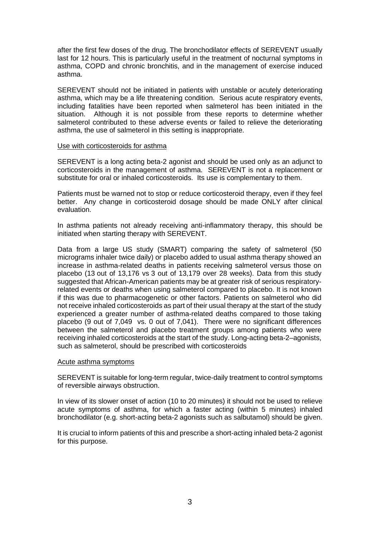after the first few doses of the drug. The bronchodilator effects of SEREVENT usually last for 12 hours. This is particularly useful in the treatment of nocturnal symptoms in asthma, COPD and chronic bronchitis, and in the management of exercise induced asthma.

SEREVENT should not be initiated in patients with unstable or acutely deteriorating asthma, which may be a life threatening condition. Serious acute respiratory events, including fatalities have been reported when salmeterol has been initiated in the situation. Although it is not possible from these reports to determine whether salmeterol contributed to these adverse events or failed to relieve the deteriorating asthma, the use of salmeterol in this setting is inappropriate.

#### Use with corticosteroids for asthma

SEREVENT is a long acting beta-2 agonist and should be used only as an adjunct to corticosteroids in the management of asthma. SEREVENT is not a replacement or substitute for oral or inhaled corticosteroids. Its use is complementary to them.

Patients must be warned not to stop or reduce corticosteroid therapy, even if they feel better. Any change in corticosteroid dosage should be made ONLY after clinical evaluation.

In asthma patients not already receiving anti-inflammatory therapy, this should be initiated when starting therapy with SEREVENT.

Data from a large US study (SMART) comparing the safety of salmeterol (50 micrograms inhaler twice daily) or placebo added to usual asthma therapy showed an increase in asthma-related deaths in patients receiving salmeterol versus those on placebo (13 out of 13,176 vs 3 out of 13,179 over 28 weeks). Data from this study suggested that African-American patients may be at greater risk of serious respiratoryrelated events or deaths when using salmeterol compared to placebo. It is not known if this was due to pharmacogenetic or other factors. Patients on salmeterol who did not receive inhaled corticosteroids as part of their usual therapy at the start of the study experienced a greater number of asthma-related deaths compared to those taking placebo (9 out of 7,049 vs. 0 out of 7,041). There were no significant differences between the salmeterol and placebo treatment groups among patients who were receiving inhaled corticosteroids at the start of the study. Long-acting beta-2–agonists, such as salmeterol, should be prescribed with corticosteroids

#### Acute asthma symptoms

SEREVENT is suitable for long-term regular, twice-daily treatment to control symptoms of reversible airways obstruction.

In view of its slower onset of action (10 to 20 minutes) it should not be used to relieve acute symptoms of asthma, for which a faster acting (within 5 minutes) inhaled bronchodilator (e.g. short-acting beta-2 agonists such as salbutamol) should be given.

It is crucial to inform patients of this and prescribe a short-acting inhaled beta-2 agonist for this purpose.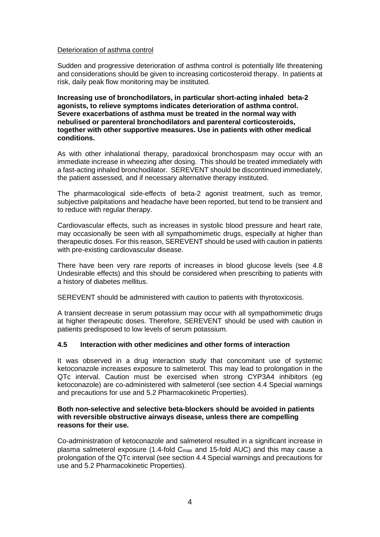#### Deterioration of asthma control

Sudden and progressive deterioration of asthma control is potentially life threatening and considerations should be given to increasing corticosteroid therapy. In patients at risk, daily peak flow monitoring may be instituted.

**Increasing use of bronchodilators, in particular short-acting inhaled beta-2 agonists, to relieve symptoms indicates deterioration of asthma control. Severe exacerbations of asthma must be treated in the normal way with nebulised or parenteral bronchodilators and parenteral corticosteroids, together with other supportive measures. Use in patients with other medical conditions.**

As with other inhalational therapy, paradoxical bronchospasm may occur with an immediate increase in wheezing after dosing. This should be treated immediately with a fast-acting inhaled bronchodilator. SEREVENT should be discontinued immediately, the patient assessed, and if necessary alternative therapy instituted.

The pharmacological side-effects of beta-2 agonist treatment, such as tremor, subjective palpitations and headache have been reported, but tend to be transient and to reduce with regular therapy.

Cardiovascular effects, such as increases in systolic blood pressure and heart rate, may occasionally be seen with all sympathomimetic drugs, especially at higher than therapeutic doses. For this reason, SEREVENT should be used with caution in patients with pre-existing cardiovascular disease.

There have been very rare reports of increases in blood glucose levels (see 4.8 Undesirable effects) and this should be considered when prescribing to patients with a history of diabetes mellitus.

SEREVENT should be administered with caution to patients with thyrotoxicosis.

A transient decrease in serum potassium may occur with all sympathomimetic drugs at higher therapeutic doses. Therefore, SEREVENT should be used with caution in patients predisposed to low levels of serum potassium.

### **4.5 Interaction with other medicines and other forms of interaction**

It was observed in a drug interaction study that concomitant use of systemic ketoconazole increases exposure to salmeterol. This may lead to prolongation in the QTc interval. Caution must be exercised when strong CYP3A4 inhibitors (eg ketoconazole) are co-administered with salmeterol (see section 4.4 Special warnings and precautions for use and 5.2 Pharmacokinetic Properties).

#### **Both non-selective and selective beta-blockers should be avoided in patients with reversible obstructive airways disease, unless there are compelling reasons for their use.**

Co-administration of ketoconazole and salmeterol resulted in a significant increase in plasma salmeterol exposure (1.4-fold  $C_{\text{max}}$  and 15-fold AUC) and this may cause a prolongation of the QTc interval (see section 4.4 Special warnings and precautions for use and 5.2 Pharmacokinetic Properties).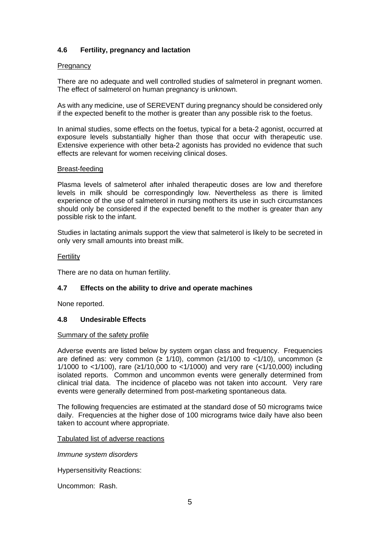# **4.6 Fertility, pregnancy and lactation**

#### **Pregnancy**

There are no adequate and well controlled studies of salmeterol in pregnant women. The effect of salmeterol on human pregnancy is unknown.

As with any medicine, use of SEREVENT during pregnancy should be considered only if the expected benefit to the mother is greater than any possible risk to the foetus.

In animal studies, some effects on the foetus, typical for a beta-2 agonist, occurred at exposure levels substantially higher than those that occur with therapeutic use. Extensive experience with other beta-2 agonists has provided no evidence that such effects are relevant for women receiving clinical doses.

#### Breast-feeding

Plasma levels of salmeterol after inhaled therapeutic doses are low and therefore levels in milk should be correspondingly low. Nevertheless as there is limited experience of the use of salmeterol in nursing mothers its use in such circumstances should only be considered if the expected benefit to the mother is greater than any possible risk to the infant.

Studies in lactating animals support the view that salmeterol is likely to be secreted in only very small amounts into breast milk.

#### **Fertility**

There are no data on human fertility.

### **4.7 Effects on the ability to drive and operate machines**

None reported.

### **4.8 Undesirable Effects**

#### Summary of the safety profile

Adverse events are listed below by system organ class and frequency. Frequencies are defined as: very common ( $\geq$  1/10), common ( $\geq$ 1/100 to <1/10), uncommon ( $\geq$ 1/1000 to <1/100), rare (≥1/10,000 to <1/1000) and very rare (<1/10,000) including isolated reports. Common and uncommon events were generally determined from clinical trial data. The incidence of placebo was not taken into account. Very rare events were generally determined from post-marketing spontaneous data.

The following frequencies are estimated at the standard dose of 50 micrograms twice daily. Frequencies at the higher dose of 100 micrograms twice daily have also been taken to account where appropriate.

#### Tabulated list of adverse reactions

*Immune system disorders*

Hypersensitivity Reactions:

Uncommon: Rash.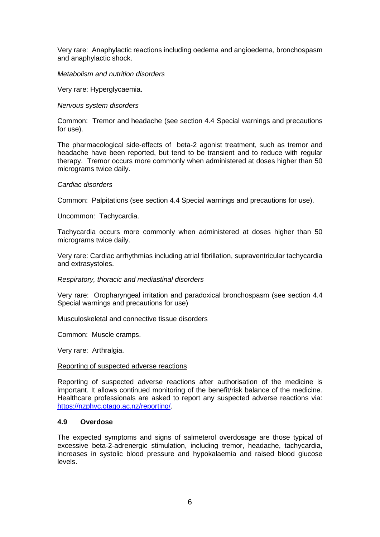Very rare: Anaphylactic reactions including oedema and angioedema, bronchospasm and anaphylactic shock.

#### *Metabolism and nutrition disorders*

Very rare: Hyperglycaemia.

*Nervous system disorders*

Common: Tremor and headache (see section 4.4 Special warnings and precautions for use).

The pharmacological side-effects of beta-2 agonist treatment, such as tremor and headache have been reported, but tend to be transient and to reduce with regular therapy. Tremor occurs more commonly when administered at doses higher than 50 micrograms twice daily.

#### *Cardiac disorders*

Common: Palpitations (see section 4.4 Special warnings and precautions for use).

Uncommon: Tachycardia.

Tachycardia occurs more commonly when administered at doses higher than 50 micrograms twice daily.

Very rare: Cardiac arrhythmias including atrial fibrillation, supraventricular tachycardia and extrasystoles.

*Respiratory, thoracic and mediastinal disorders*

Very rare: Oropharyngeal irritation and paradoxical bronchospasm (see section 4.4 Special warnings and precautions for use)

Musculoskeletal and connective tissue disorders

Common: Muscle cramps.

Very rare: Arthralgia.

#### Reporting of suspected adverse reactions

Reporting of suspected adverse reactions after authorisation of the medicine is important. It allows continued monitoring of the benefit/risk balance of the medicine. Healthcare professionals are asked to report any suspected adverse reactions via: [https://nzphvc.otago.ac.nz/reporting/.](https://nzphvc.otago.ac.nz/reporting/)

#### **4.9 Overdose**

The expected symptoms and signs of salmeterol overdosage are those typical of excessive beta-2-adrenergic stimulation, including tremor, headache, tachycardia, increases in systolic blood pressure and hypokalaemia and raised blood glucose levels.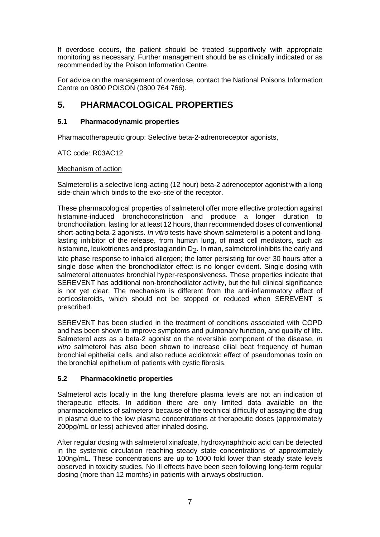If overdose occurs, the patient should be treated supportively with appropriate monitoring as necessary. Further management should be as clinically indicated or as recommended by the Poison Information Centre.

For advice on the management of overdose, contact the National Poisons Information Centre on 0800 POISON (0800 764 766).

# **5. PHARMACOLOGICAL PROPERTIES**

# **5.1 Pharmacodynamic properties**

Pharmacotherapeutic group: Selective beta-2-adrenoreceptor agonists,

# ATC code: R03AC12

# Mechanism of action

Salmeterol is a selective long-acting (12 hour) beta-2 adrenoceptor agonist with a long side-chain which binds to the exo-site of the receptor.

These pharmacological properties of salmeterol offer more effective protection against histamine-induced bronchoconstriction and produce a longer duration to bronchodilation, lasting for at least 12 hours, than recommended doses of conventional short-acting beta-2 agonists. *In vitro* tests have shown salmeterol is a potent and longlasting inhibitor of the release, from human lung, of mast cell mediators, such as histamine, leukotrienes and prostaglandin  $D_2$ . In man, salmeterol inhibits the early and

late phase response to inhaled allergen; the latter persisting for over 30 hours after a single dose when the bronchodilator effect is no longer evident. Single dosing with salmeterol attenuates bronchial hyper-responsiveness. These properties indicate that SEREVENT has additional non-bronchodilator activity, but the full clinical significance is not yet clear. The mechanism is different from the anti-inflammatory effect of corticosteroids, which should not be stopped or reduced when SEREVENT is prescribed.

SEREVENT has been studied in the treatment of conditions associated with COPD and has been shown to improve symptoms and pulmonary function, and quality of life. Salmeterol acts as a beta-2 agonist on the reversible component of the disease. *In vitro* salmeterol has also been shown to increase cilial beat frequency of human bronchial epithelial cells, and also reduce acidiotoxic effect of pseudomonas toxin on the bronchial epithelium of patients with cystic fibrosis.

# **5.2 Pharmacokinetic properties**

Salmeterol acts locally in the lung therefore plasma levels are not an indication of therapeutic effects. In addition there are only limited data available on the pharmacokinetics of salmeterol because of the technical difficulty of assaying the drug in plasma due to the low plasma concentrations at therapeutic doses (approximately 200pg/mL or less) achieved after inhaled dosing.

After regular dosing with salmeterol xinafoate, hydroxynaphthoic acid can be detected in the systemic circulation reaching steady state concentrations of approximately 100ng/mL. These concentrations are up to 1000 fold lower than steady state levels observed in toxicity studies. No ill effects have been seen following long-term regular dosing (more than 12 months) in patients with airways obstruction.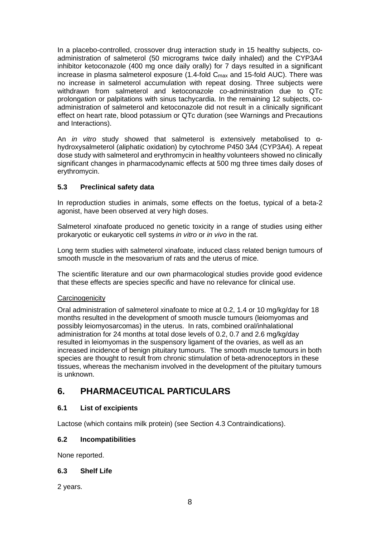In a placebo-controlled, crossover drug interaction study in 15 healthy subjects, coadministration of salmeterol (50 micrograms twice daily inhaled) and the CYP3A4 inhibitor ketoconazole (400 mg once daily orally) for 7 days resulted in a significant increase in plasma salmeterol exposure  $(1.4$ -fold  $C<sub>max</sub>$  and 15-fold AUC). There was no increase in salmeterol accumulation with repeat dosing. Three subjects were withdrawn from salmeterol and ketoconazole co-administration due to QTc prolongation or palpitations with sinus tachycardia. In the remaining 12 subjects, coadministration of salmeterol and ketoconazole did not result in a clinically significant effect on heart rate, blood potassium or QTc duration (see Warnings and Precautions and Interactions).

An *in vitro* study showed that salmeterol is extensively metabolised to αhydroxysalmeterol (aliphatic oxidation) by cytochrome P450 3A4 (CYP3A4). A repeat dose study with salmeterol and erythromycin in healthy volunteers showed no clinically significant changes in pharmacodynamic effects at 500 mg three times daily doses of erythromycin.

# **5.3 Preclinical safety data**

In reproduction studies in animals, some effects on the foetus, typical of a beta-2 agonist, have been observed at very high doses.

Salmeterol xinafoate produced no genetic toxicity in a range of studies using either prokaryotic or eukaryotic cell systems *in vitro* or *in vivo* in the rat.

Long term studies with salmeterol xinafoate, induced class related benign tumours of smooth muscle in the mesovarium of rats and the uterus of mice.

The scientific literature and our own pharmacological studies provide good evidence that these effects are species specific and have no relevance for clinical use.

### **Carcinogenicity**

Oral administration of salmeterol xinafoate to mice at 0.2, 1.4 or 10 mg/kg/day for 18 months resulted in the development of smooth muscle tumours (leiomyomas and possibly leiomyosarcomas) in the uterus. In rats, combined oral/inhalational administration for 24 months at total dose levels of 0.2, 0.7 and 2.6 mg/kg/day resulted in leiomyomas in the suspensory ligament of the ovaries, as well as an increased incidence of benign pituitary tumours. The smooth muscle tumours in both species are thought to result from chronic stimulation of beta-adrenoceptors in these tissues, whereas the mechanism involved in the development of the pituitary tumours is unknown.

# **6. PHARMACEUTICAL PARTICULARS**

# **6.1 List of excipients**

Lactose (which contains milk protein) (see Section 4.3 Contraindications).

# **6.2 Incompatibilities**

None reported.

# **6.3 Shelf Life**

2 years.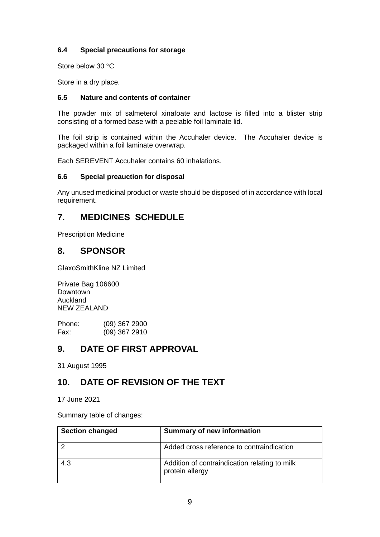# **6.4 Special precautions for storage**

Store below 30 °C

Store in a dry place.

# **6.5 Nature and contents of container**

The powder mix of salmeterol xinafoate and lactose is filled into a blister strip consisting of a formed base with a peelable foil laminate lid.

The foil strip is contained within the Accuhaler device. The Accuhaler device is packaged within a foil laminate overwrap.

Each SEREVENT Accuhaler contains 60 inhalations.

# **6.6 Special preauction for disposal**

Any unused medicinal product or waste should be disposed of in accordance with local requirement.

# **7. MEDICINES SCHEDULE**

Prescription Medicine

# **8. SPONSOR**

GlaxoSmithKline NZ Limited

Private Bag 106600 Downtown Auckland NEW ZEALAND

Phone: (09) 367 2900<br>Fax: (09) 367 2910  $(09)$  367 2910

# **9. DATE OF FIRST APPROVAL**

31 August 1995

# **10. DATE OF REVISION OF THE TEXT**

17 June 2021

Summary table of changes:

| <b>Section changed</b> | <b>Summary of new information</b>                                |
|------------------------|------------------------------------------------------------------|
|                        | Added cross reference to contraindication                        |
| 4.3                    | Addition of contraindication relating to milk<br>protein allergy |